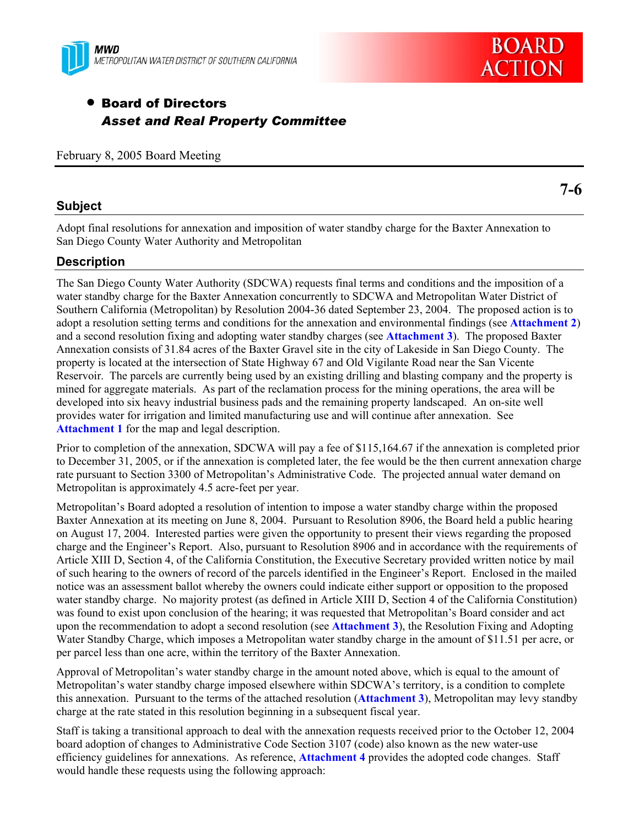



# • Board of Directors *Asset and Real Property Committee*

February 8, 2005 Board Meeting

# **Subject**

**7-6** 

Adopt final resolutions for annexation and imposition of water standby charge for the Baxter Annexation to San Diego County Water Authority and Metropolitan

# **Description**

The San Diego County Water Authority (SDCWA) requests final terms and conditions and the imposition of a water standby charge for the Baxter Annexation concurrently to SDCWA and Metropolitan Water District of Southern California (Metropolitan) by Resolution 2004-36 dated September 23, 2004. The proposed action is to adopt a resolution setting terms and conditions for the annexation and environmental findings (see **Attachment 2**) and a second resolution fixing and adopting water standby charges (see **Attachment 3**). The proposed Baxter Annexation consists of 31.84 acres of the Baxter Gravel site in the city of Lakeside in San Diego County. The property is located at the intersection of State Highway 67 and Old Vigilante Road near the San Vicente Reservoir. The parcels are currently being used by an existing drilling and blasting company and the property is mined for aggregate materials. As part of the reclamation process for the mining operations, the area will be developed into six heavy industrial business pads and the remaining property landscaped. An on-site well provides water for irrigation and limited manufacturing use and will continue after annexation. See **Attachment 1** for the map and legal description.

Prior to completion of the annexation, SDCWA will pay a fee of \$115,164.67 if the annexation is completed prior to December 31, 2005, or if the annexation is completed later, the fee would be the then current annexation charge rate pursuant to Section 3300 of Metropolitan's Administrative Code. The projected annual water demand on Metropolitan is approximately 4.5 acre-feet per year.

Metropolitan's Board adopted a resolution of intention to impose a water standby charge within the proposed Baxter Annexation at its meeting on June 8, 2004. Pursuant to Resolution 8906, the Board held a public hearing on August 17, 2004. Interested parties were given the opportunity to present their views regarding the proposed charge and the Engineer's Report. Also, pursuant to Resolution 8906 and in accordance with the requirements of Article XIII D, Section 4, of the California Constitution, the Executive Secretary provided written notice by mail of such hearing to the owners of record of the parcels identified in the Engineer's Report. Enclosed in the mailed notice was an assessment ballot whereby the owners could indicate either support or opposition to the proposed water standby charge. No majority protest (as defined in Article XIII D, Section 4 of the California Constitution) was found to exist upon conclusion of the hearing; it was requested that Metropolitan's Board consider and act upon the recommendation to adopt a second resolution (see **Attachment 3**), the Resolution Fixing and Adopting Water Standby Charge, which imposes a Metropolitan water standby charge in the amount of \$11.51 per acre, or per parcel less than one acre, within the territory of the Baxter Annexation.

Approval of Metropolitan's water standby charge in the amount noted above, which is equal to the amount of Metropolitan's water standby charge imposed elsewhere within SDCWA's territory, is a condition to complete this annexation. Pursuant to the terms of the attached resolution (**Attachment 3**), Metropolitan may levy standby charge at the rate stated in this resolution beginning in a subsequent fiscal year.

Staff is taking a transitional approach to deal with the annexation requests received prior to the October 12, 2004 board adoption of changes to Administrative Code Section 3107 (code) also known as the new water-use efficiency guidelines for annexations. As reference, **Attachment 4** provides the adopted code changes. Staff would handle these requests using the following approach: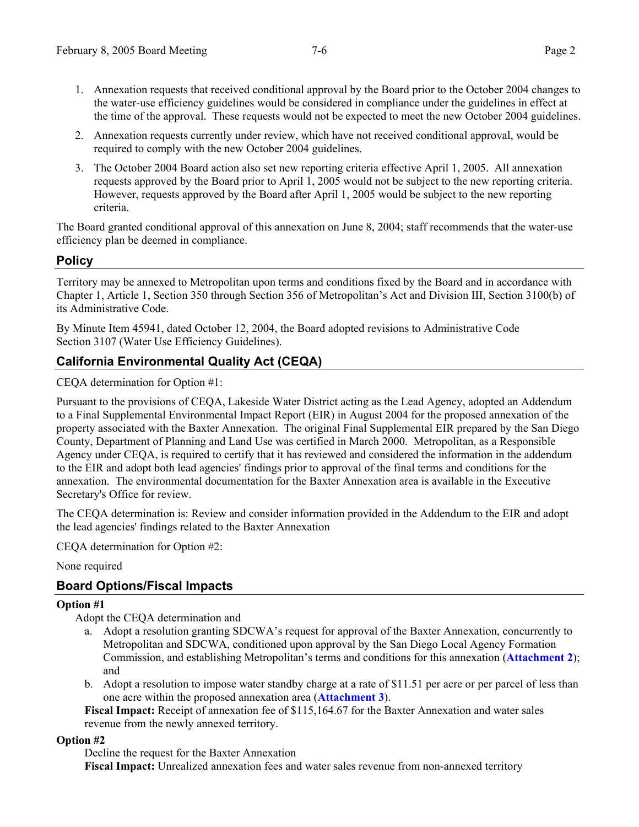- 1. Annexation requests that received conditional approval by the Board prior to the October 2004 changes to the water-use efficiency guidelines would be considered in compliance under the guidelines in effect at the time of the approval. These requests would not be expected to meet the new October 2004 guidelines.
- 2. Annexation requests currently under review, which have not received conditional approval, would be required to comply with the new October 2004 guidelines.
- 3. The October 2004 Board action also set new reporting criteria effective April 1, 2005. All annexation requests approved by the Board prior to April 1, 2005 would not be subject to the new reporting criteria. However, requests approved by the Board after April 1, 2005 would be subject to the new reporting criteria.

The Board granted conditional approval of this annexation on June 8, 2004; staff recommends that the water-use efficiency plan be deemed in compliance.

# **Policy**

Territory may be annexed to Metropolitan upon terms and conditions fixed by the Board and in accordance with Chapter 1, Article 1, Section 350 through Section 356 of Metropolitan's Act and Division III, Section 3100(b) of its Administrative Code.

By Minute Item 45941, dated October 12, 2004, the Board adopted revisions to Administrative Code Section 3107 (Water Use Efficiency Guidelines).

# **California Environmental Quality Act (CEQA)**

CEQA determination for Option #1:

Pursuant to the provisions of CEQA, Lakeside Water District acting as the Lead Agency, adopted an Addendum to a Final Supplemental Environmental Impact Report (EIR) in August 2004 for the proposed annexation of the property associated with the Baxter Annexation. The original Final Supplemental EIR prepared by the San Diego County, Department of Planning and Land Use was certified in March 2000. Metropolitan, as a Responsible Agency under CEQA, is required to certify that it has reviewed and considered the information in the addendum to the EIR and adopt both lead agencies' findings prior to approval of the final terms and conditions for the annexation. The environmental documentation for the Baxter Annexation area is available in the Executive Secretary's Office for review.

The CEQA determination is: Review and consider information provided in the Addendum to the EIR and adopt the lead agencies' findings related to the Baxter Annexation

CEQA determination for Option #2:

None required

# **Board Options/Fiscal Impacts**

#### **Option #1**

Adopt the CEQA determination and

- a. Adopt a resolution granting SDCWA's request for approval of the Baxter Annexation, concurrently to Metropolitan and SDCWA, conditioned upon approval by the San Diego Local Agency Formation Commission, and establishing Metropolitan's terms and conditions for this annexation (**Attachment 2**); and
- b. Adopt a resolution to impose water standby charge at a rate of \$11.51 per acre or per parcel of less than one acre within the proposed annexation area (**Attachment 3**).

**Fiscal Impact:** Receipt of annexation fee of \$115,164.67 for the Baxter Annexation and water sales revenue from the newly annexed territory.

**Option #2** 

Decline the request for the Baxter Annexation **Fiscal Impact:** Unrealized annexation fees and water sales revenue from non-annexed territory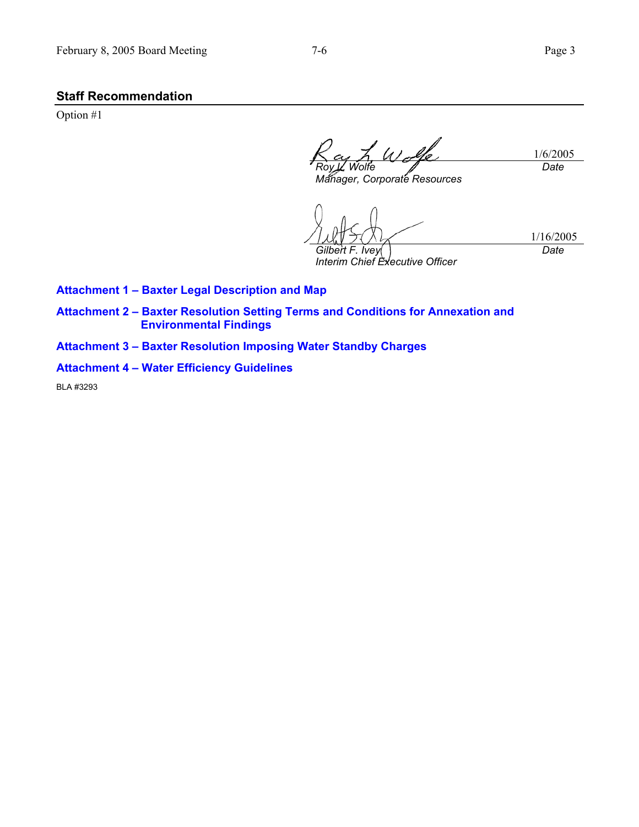# **Staff Recommendation**

Option #1

1/6/2005 *Roy L. Wolfe Date* 

*Manager, Corporate Resources* 

1/16/2005 *Gilbert F. Ivey Interim Chief Executive Officer Date* 

**Attachment 1 – Baxter Legal Description and Map** 

**Attachment 2 – Baxter Resolution Setting Terms and Conditions for Annexation and Environmental Findings** 

**Attachment 3 – Baxter Resolution Imposing Water Standby Charges** 

**Attachment 4 – Water Efficiency Guidelines** 

BLA #3293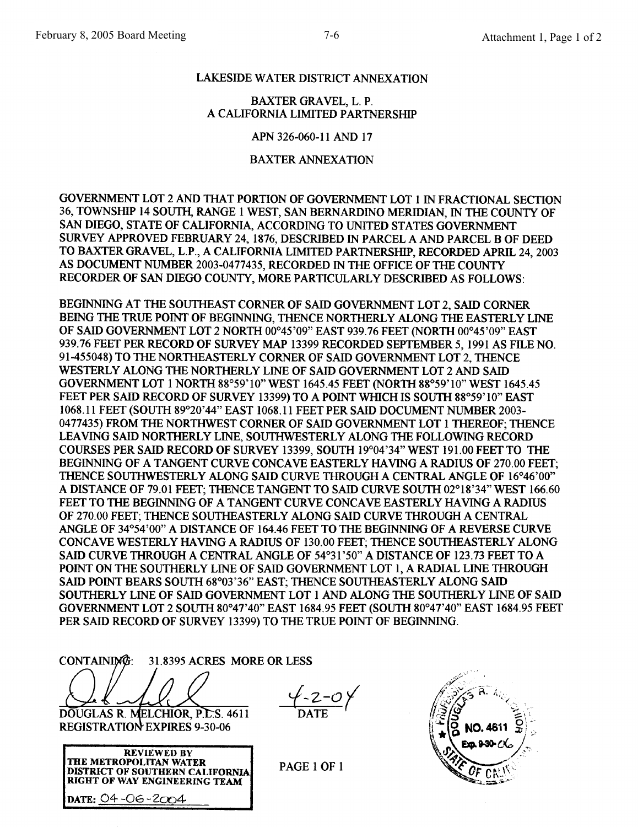# LAKESIDE WATER DISTRICT ANNEXATION

### **BAXTER GRAVEL, L. P.** A CALIFORNIA LIMITED PARTNERSHIP

APN 326-060-11 AND 17

# **BAXTER ANNEXATION**

GOVERNMENT LOT 2 AND THAT PORTION OF GOVERNMENT LOT 1 IN FRACTIONAL SECTION 36, TOWNSHIP 14 SOUTH, RANGE 1 WEST, SAN BERNARDINO MERIDIAN. IN THE COUNTY OF SAN DIEGO, STATE OF CALIFORNIA, ACCORDING TO UNITED STATES GOVERNMENT SURVEY APPROVED FEBRUARY 24, 1876, DESCRIBED IN PARCEL A AND PARCEL B OF DEED TO BAXTER GRAVEL, L.P., A CALIFORNIA LIMITED PARTNERSHIP, RECORDED APRIL 24, 2003 AS DOCUMENT NUMBER 2003-0477435, RECORDED IN THE OFFICE OF THE COUNTY RECORDER OF SAN DIEGO COUNTY, MORE PARTICULARLY DESCRIBED AS FOLLOWS:

BEGINNING AT THE SOUTHEAST CORNER OF SAID GOVERNMENT LOT 2, SAID CORNER BEING THE TRUE POINT OF BEGINNING, THENCE NORTHERLY ALONG THE EASTERLY LINE OF SAID GOVERNMENT LOT 2 NORTH 00°45'09" EAST 939.76 FEET (NORTH 00°45'09" EAST 939.76 FEET PER RECORD OF SURVEY MAP 13399 RECORDED SEPTEMBER 5, 1991 AS FILE NO. 91-455048) TO THE NORTHEASTERLY CORNER OF SAID GOVERNMENT LOT 2, THENCE WESTERLY ALONG THE NORTHERLY LINE OF SAID GOVERNMENT LOT 2 AND SAID GOVERNMENT LOT 1 NORTH 88°59'10" WEST 1645.45 FEET (NORTH 88°59'10" WEST 1645.45 FEET PER SAID RECORD OF SURVEY 13399) TO A POINT WHICH IS SOUTH 88°59'10" EAST 1068.11 FEET (SOUTH 89°20'44" EAST 1068.11 FEET PER SAID DOCUMENT NUMBER 2003-0477435) FROM THE NORTHWEST CORNER OF SAID GOVERNMENT LOT 1 THEREOF; THENCE LEAVING SAID NORTHERLY LINE, SOUTHWESTERLY ALONG THE FOLLOWING RECORD COURSES PER SAID RECORD OF SURVEY 13399, SOUTH 19°04'34" WEST 191.00 FEET TO THE BEGINNING OF A TANGENT CURVE CONCAVE EASTERLY HAVING A RADIUS OF 270.00 FEET: THENCE SOUTHWESTERLY ALONG SAID CURVE THROUGH A CENTRAL ANGLE OF 16°46'00" A DISTANCE OF 79.01 FEET; THENCE TANGENT TO SAID CURVE SOUTH 02°18'34" WEST 166.60 FEET TO THE BEGINNING OF A TANGENT CURVE CONCAVE EASTERLY HAVING A RADIUS OF 270.00 FEET; THENCE SOUTHEASTERLY ALONG SAID CURVE THROUGH A CENTRAL ANGLE OF 34°54'00" A DISTANCE OF 164.46 FEET TO THE BEGINNING OF A REVERSE CURVE CONCAVE WESTERLY HAVING A RADIUS OF 130.00 FEET; THENCE SOUTHEASTERLY ALONG SAID CURVE THROUGH A CENTRAL ANGLE OF 54°31'50" A DISTANCE OF 123.73 FEET TO A POINT ON THE SOUTHERLY LINE OF SAID GOVERNMENT LOT 1, A RADIAL LINE THROUGH SAID POINT BEARS SOUTH 68°03'36" EAST; THENCE SOUTHEASTERLY ALONG SAID SOUTHERLY LINE OF SAID GOVERNMENT LOT 1 AND ALONG THE SOUTHERLY LINE OF SAID GOVERNMENT LOT 2 SOUTH 80°47'40" EAST 1684.95 FEET (SOUTH 80°47'40" EAST 1684.95 FEET PER SAID RECORD OF SURVEY 13399) TO THE TRUE POINT OF BEGINNING.

CONTAINING: 31.8395 ACRES MORE OR LESS DOUGLAS R. MELCHIOR, P.L.S. 4611

**REGISTRATION EXPIRES 9-30-06** 

| <b>REVIEWED BY</b>                     |  |
|----------------------------------------|--|
| <b>THE METROPOLITAN WATER</b>          |  |
| <b>DISTRICT OF SOUTHERN CALIFORNIA</b> |  |
| <b>RIGHT OF WAY ENGINEERING TEAM</b>   |  |
| DATE: 04 -06 -2004                     |  |

 $-2 - 0y$ 

PAGE 1 OF 1

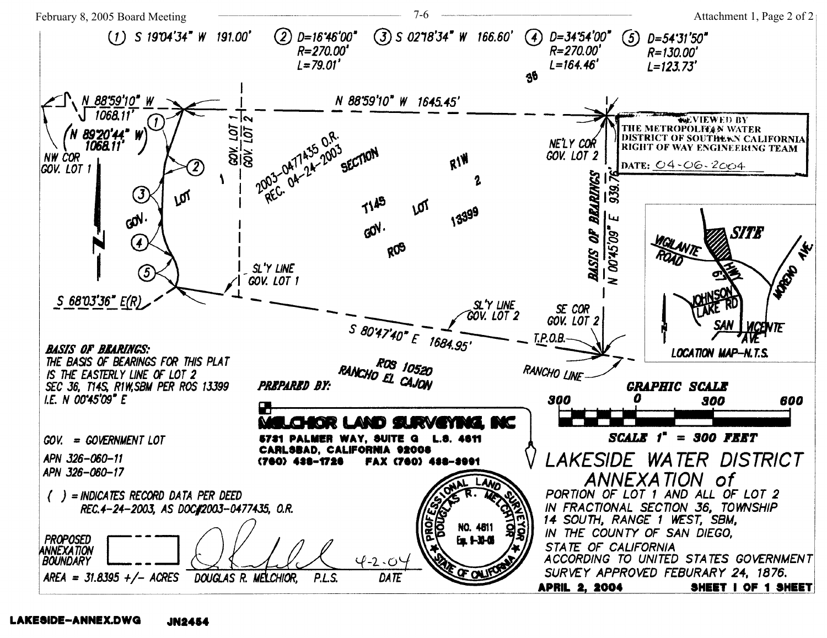

#### LAKESIDE-ANNEX.DWG JN2454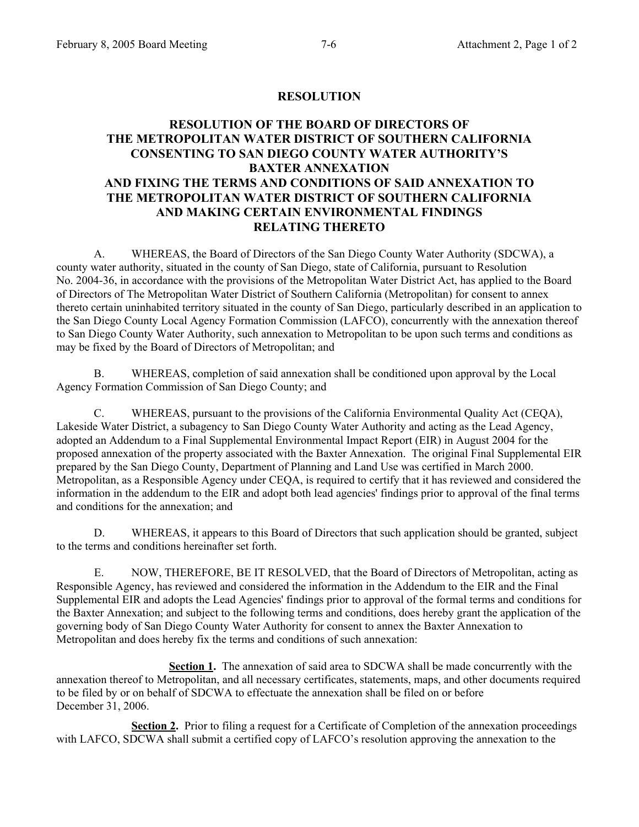#### **RESOLUTION**

# **RESOLUTION OF THE BOARD OF DIRECTORS OF THE METROPOLITAN WATER DISTRICT OF SOUTHERN CALIFORNIA CONSENTING TO SAN DIEGO COUNTY WATER AUTHORITY'S BAXTER ANNEXATION AND FIXING THE TERMS AND CONDITIONS OF SAID ANNEXATION TO THE METROPOLITAN WATER DISTRICT OF SOUTHERN CALIFORNIA AND MAKING CERTAIN ENVIRONMENTAL FINDINGS RELATING THERETO**

 A. WHEREAS, the Board of Directors of the San Diego County Water Authority (SDCWA), a county water authority, situated in the county of San Diego, state of California, pursuant to Resolution No. 2004-36, in accordance with the provisions of the Metropolitan Water District Act, has applied to the Board of Directors of The Metropolitan Water District of Southern California (Metropolitan) for consent to annex thereto certain uninhabited territory situated in the county of San Diego, particularly described in an application to the San Diego County Local Agency Formation Commission (LAFCO), concurrently with the annexation thereof to San Diego County Water Authority, such annexation to Metropolitan to be upon such terms and conditions as may be fixed by the Board of Directors of Metropolitan; and

B. WHEREAS, completion of said annexation shall be conditioned upon approval by the Local Agency Formation Commission of San Diego County; and

 C. WHEREAS, pursuant to the provisions of the California Environmental Quality Act (CEQA), Lakeside Water District, a subagency to San Diego County Water Authority and acting as the Lead Agency, adopted an Addendum to a Final Supplemental Environmental Impact Report (EIR) in August 2004 for the proposed annexation of the property associated with the Baxter Annexation. The original Final Supplemental EIR prepared by the San Diego County, Department of Planning and Land Use was certified in March 2000. Metropolitan, as a Responsible Agency under CEQA, is required to certify that it has reviewed and considered the information in the addendum to the EIR and adopt both lead agencies' findings prior to approval of the final terms and conditions for the annexation; and

 D. WHEREAS, it appears to this Board of Directors that such application should be granted, subject to the terms and conditions hereinafter set forth.

E. NOW, THEREFORE, BE IT RESOLVED, that the Board of Directors of Metropolitan, acting as Responsible Agency, has reviewed and considered the information in the Addendum to the EIR and the Final Supplemental EIR and adopts the Lead Agencies' findings prior to approval of the formal terms and conditions for the Baxter Annexation; and subject to the following terms and conditions, does hereby grant the application of the governing body of San Diego County Water Authority for consent to annex the Baxter Annexation to Metropolitan and does hereby fix the terms and conditions of such annexation:

 **Section 1.** The annexation of said area to SDCWA shall be made concurrently with the annexation thereof to Metropolitan, and all necessary certificates, statements, maps, and other documents required to be filed by or on behalf of SDCWA to effectuate the annexation shall be filed on or before December 31, 2006.

**Section 2.** Prior to filing a request for a Certificate of Completion of the annexation proceedings with LAFCO, SDCWA shall submit a certified copy of LAFCO's resolution approving the annexation to the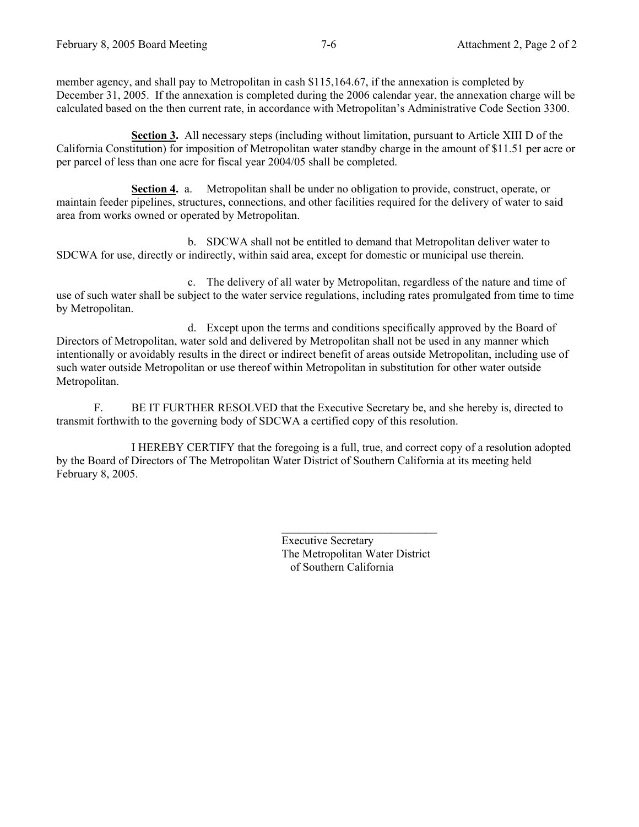member agency, and shall pay to Metropolitan in cash \$115,164.67, if the annexation is completed by December 31, 2005. If the annexation is completed during the 2006 calendar year, the annexation charge will be calculated based on the then current rate, in accordance with Metropolitan's Administrative Code Section 3300.

 **Section 3.** All necessary steps (including without limitation, pursuant to Article XIII D of the California Constitution) for imposition of Metropolitan water standby charge in the amount of \$11.51 per acre or per parcel of less than one acre for fiscal year 2004/05 shall be completed.

**Section 4.** a. Metropolitan shall be under no obligation to provide, construct, operate, or maintain feeder pipelines, structures, connections, and other facilities required for the delivery of water to said area from works owned or operated by Metropolitan.

 b. SDCWA shall not be entitled to demand that Metropolitan deliver water to SDCWA for use, directly or indirectly, within said area, except for domestic or municipal use therein.

 c. The delivery of all water by Metropolitan, regardless of the nature and time of use of such water shall be subject to the water service regulations, including rates promulgated from time to time by Metropolitan.

d. Except upon the terms and conditions specifically approved by the Board of Directors of Metropolitan, water sold and delivered by Metropolitan shall not be used in any manner which intentionally or avoidably results in the direct or indirect benefit of areas outside Metropolitan, including use of such water outside Metropolitan or use thereof within Metropolitan in substitution for other water outside Metropolitan.

F. BE IT FURTHER RESOLVED that the Executive Secretary be, and she hereby is, directed to transmit forthwith to the governing body of SDCWA a certified copy of this resolution.

 I HEREBY CERTIFY that the foregoing is a full, true, and correct copy of a resolution adopted by the Board of Directors of The Metropolitan Water District of Southern California at its meeting held February 8, 2005.

> Executive Secretary The Metropolitan Water District of Southern California

 $\mathcal{L}_\text{max}$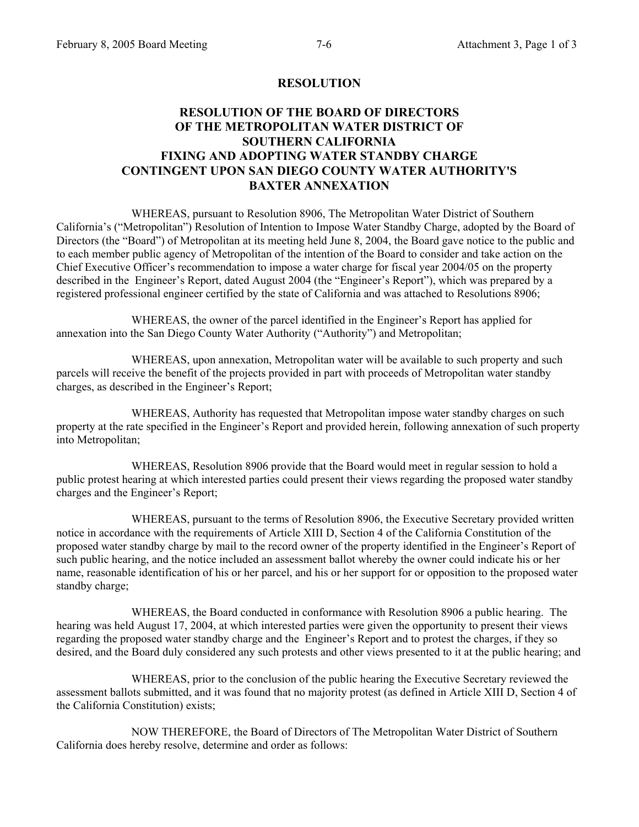#### **RESOLUTION**

# **RESOLUTION OF THE BOARD OF DIRECTORS OF THE METROPOLITAN WATER DISTRICT OF SOUTHERN CALIFORNIA FIXING AND ADOPTING WATER STANDBY CHARGE CONTINGENT UPON SAN DIEGO COUNTY WATER AUTHORITY'S BAXTER ANNEXATION**

 WHEREAS, pursuant to Resolution 8906, The Metropolitan Water District of Southern California's ("Metropolitan") Resolution of Intention to Impose Water Standby Charge, adopted by the Board of Directors (the "Board") of Metropolitan at its meeting held June 8, 2004, the Board gave notice to the public and to each member public agency of Metropolitan of the intention of the Board to consider and take action on the Chief Executive Officer's recommendation to impose a water charge for fiscal year 2004/05 on the property described in the Engineer's Report, dated August 2004 (the "Engineer's Report"), which was prepared by a registered professional engineer certified by the state of California and was attached to Resolutions 8906;

 WHEREAS, the owner of the parcel identified in the Engineer's Report has applied for annexation into the San Diego County Water Authority ("Authority") and Metropolitan;

 WHEREAS, upon annexation, Metropolitan water will be available to such property and such parcels will receive the benefit of the projects provided in part with proceeds of Metropolitan water standby charges, as described in the Engineer's Report;

 WHEREAS, Authority has requested that Metropolitan impose water standby charges on such property at the rate specified in the Engineer's Report and provided herein, following annexation of such property into Metropolitan;

 WHEREAS, Resolution 8906 provide that the Board would meet in regular session to hold a public protest hearing at which interested parties could present their views regarding the proposed water standby charges and the Engineer's Report;

 WHEREAS, pursuant to the terms of Resolution 8906, the Executive Secretary provided written notice in accordance with the requirements of Article XIII D, Section 4 of the California Constitution of the proposed water standby charge by mail to the record owner of the property identified in the Engineer's Report of such public hearing, and the notice included an assessment ballot whereby the owner could indicate his or her name, reasonable identification of his or her parcel, and his or her support for or opposition to the proposed water standby charge;

 WHEREAS, the Board conducted in conformance with Resolution 8906 a public hearing. The hearing was held August 17, 2004, at which interested parties were given the opportunity to present their views regarding the proposed water standby charge and the Engineer's Report and to protest the charges, if they so desired, and the Board duly considered any such protests and other views presented to it at the public hearing; and

 WHEREAS, prior to the conclusion of the public hearing the Executive Secretary reviewed the assessment ballots submitted, and it was found that no majority protest (as defined in Article XIII D, Section 4 of the California Constitution) exists;

 NOW THEREFORE, the Board of Directors of The Metropolitan Water District of Southern California does hereby resolve, determine and order as follows: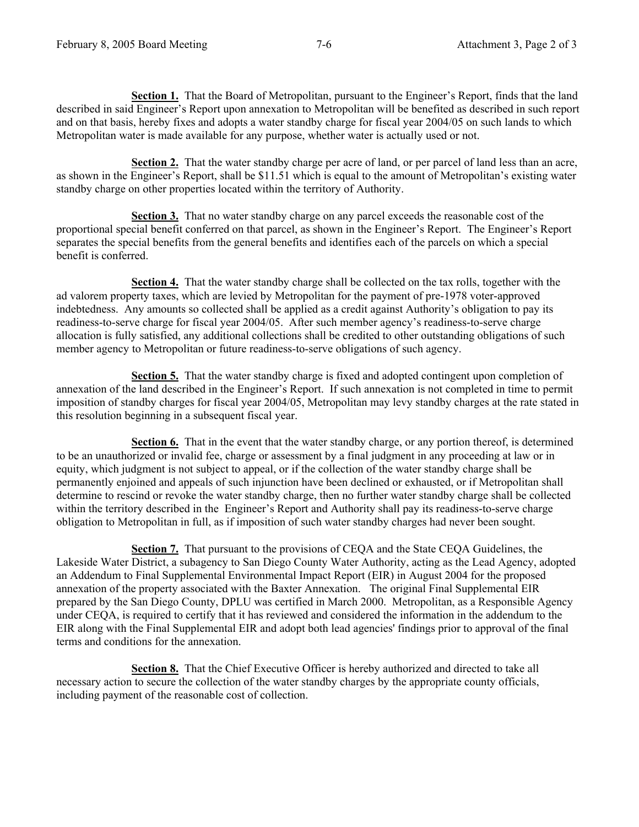**Section 1.** That the Board of Metropolitan, pursuant to the Engineer's Report, finds that the land described in said Engineer's Report upon annexation to Metropolitan will be benefited as described in such report and on that basis, hereby fixes and adopts a water standby charge for fiscal year 2004/05 on such lands to which Metropolitan water is made available for any purpose, whether water is actually used or not.

 **Section 2.** That the water standby charge per acre of land, or per parcel of land less than an acre, as shown in the Engineer's Report, shall be \$11.51 which is equal to the amount of Metropolitan's existing water standby charge on other properties located within the territory of Authority.

 **Section 3.** That no water standby charge on any parcel exceeds the reasonable cost of the proportional special benefit conferred on that parcel, as shown in the Engineer's Report. The Engineer's Report separates the special benefits from the general benefits and identifies each of the parcels on which a special benefit is conferred.

 **Section 4.** That the water standby charge shall be collected on the tax rolls, together with the ad valorem property taxes, which are levied by Metropolitan for the payment of pre-1978 voter-approved indebtedness. Any amounts so collected shall be applied as a credit against Authority's obligation to pay its readiness-to-serve charge for fiscal year 2004/05. After such member agency's readiness-to-serve charge allocation is fully satisfied, any additional collections shall be credited to other outstanding obligations of such member agency to Metropolitan or future readiness-to-serve obligations of such agency.

 **Section 5.** That the water standby charge is fixed and adopted contingent upon completion of annexation of the land described in the Engineer's Report. If such annexation is not completed in time to permit imposition of standby charges for fiscal year 2004/05, Metropolitan may levy standby charges at the rate stated in this resolution beginning in a subsequent fiscal year.

 **Section 6.** That in the event that the water standby charge, or any portion thereof, is determined to be an unauthorized or invalid fee, charge or assessment by a final judgment in any proceeding at law or in equity, which judgment is not subject to appeal, or if the collection of the water standby charge shall be permanently enjoined and appeals of such injunction have been declined or exhausted, or if Metropolitan shall determine to rescind or revoke the water standby charge, then no further water standby charge shall be collected within the territory described in the Engineer's Report and Authority shall pay its readiness-to-serve charge obligation to Metropolitan in full, as if imposition of such water standby charges had never been sought.

 **Section 7.** That pursuant to the provisions of CEQA and the State CEQA Guidelines, the Lakeside Water District, a subagency to San Diego County Water Authority, acting as the Lead Agency, adopted an Addendum to Final Supplemental Environmental Impact Report (EIR) in August 2004 for the proposed annexation of the property associated with the Baxter Annexation. The original Final Supplemental EIR prepared by the San Diego County, DPLU was certified in March 2000. Metropolitan, as a Responsible Agency under CEQA, is required to certify that it has reviewed and considered the information in the addendum to the EIR along with the Final Supplemental EIR and adopt both lead agencies' findings prior to approval of the final terms and conditions for the annexation.

 **Section 8.** That the Chief Executive Officer is hereby authorized and directed to take all necessary action to secure the collection of the water standby charges by the appropriate county officials, including payment of the reasonable cost of collection.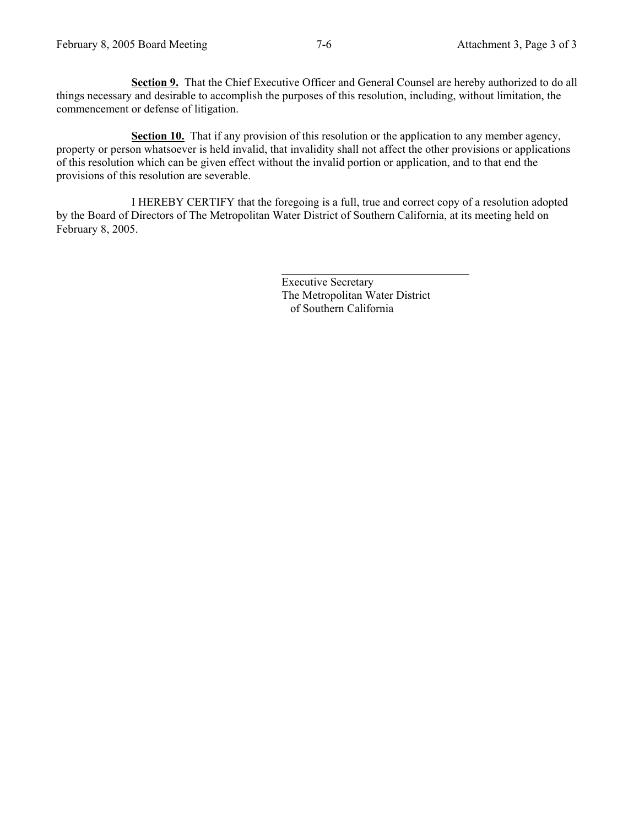**Section 9.** That the Chief Executive Officer and General Counsel are hereby authorized to do all things necessary and desirable to accomplish the purposes of this resolution, including, without limitation, the commencement or defense of litigation.

**Section 10.** That if any provision of this resolution or the application to any member agency, property or person whatsoever is held invalid, that invalidity shall not affect the other provisions or applications of this resolution which can be given effect without the invalid portion or application, and to that end the provisions of this resolution are severable.

 I HEREBY CERTIFY that the foregoing is a full, true and correct copy of a resolution adopted by the Board of Directors of The Metropolitan Water District of Southern California, at its meeting held on February 8, 2005.

> Executive Secretary The Metropolitan Water District of Southern California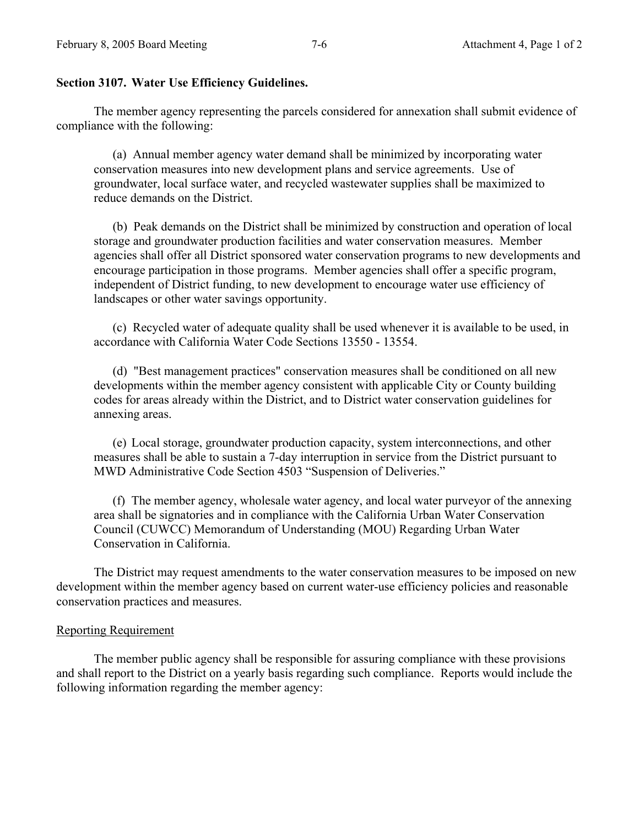### **Section 3107. Water Use Efficiency Guidelines.**

The member agency representing the parcels considered for annexation shall submit evidence of compliance with the following:

(a) Annual member agency water demand shall be minimized by incorporating water conservation measures into new development plans and service agreements. Use of groundwater, local surface water, and recycled wastewater supplies shall be maximized to reduce demands on the District.

(b) Peak demands on the District shall be minimized by construction and operation of local storage and groundwater production facilities and water conservation measures. Member agencies shall offer all District sponsored water conservation programs to new developments and encourage participation in those programs. Member agencies shall offer a specific program, independent of District funding, to new development to encourage water use efficiency of landscapes or other water savings opportunity.

(c) Recycled water of adequate quality shall be used whenever it is available to be used, in accordance with California Water Code Sections 13550 - 13554.

(d) "Best management practices" conservation measures shall be conditioned on all new developments within the member agency consistent with applicable City or County building codes for areas already within the District, and to District water conservation guidelines for annexing areas.

(e) Local storage, groundwater production capacity, system interconnections, and other measures shall be able to sustain a 7-day interruption in service from the District pursuant to MWD Administrative Code Section 4503 "Suspension of Deliveries."

(f) The member agency, wholesale water agency, and local water purveyor of the annexing area shall be signatories and in compliance with the California Urban Water Conservation Council (CUWCC) Memorandum of Understanding (MOU) Regarding Urban Water Conservation in California.

The District may request amendments to the water conservation measures to be imposed on new development within the member agency based on current water-use efficiency policies and reasonable conservation practices and measures.

#### Reporting Requirement

 The member public agency shall be responsible for assuring compliance with these provisions and shall report to the District on a yearly basis regarding such compliance. Reports would include the following information regarding the member agency: